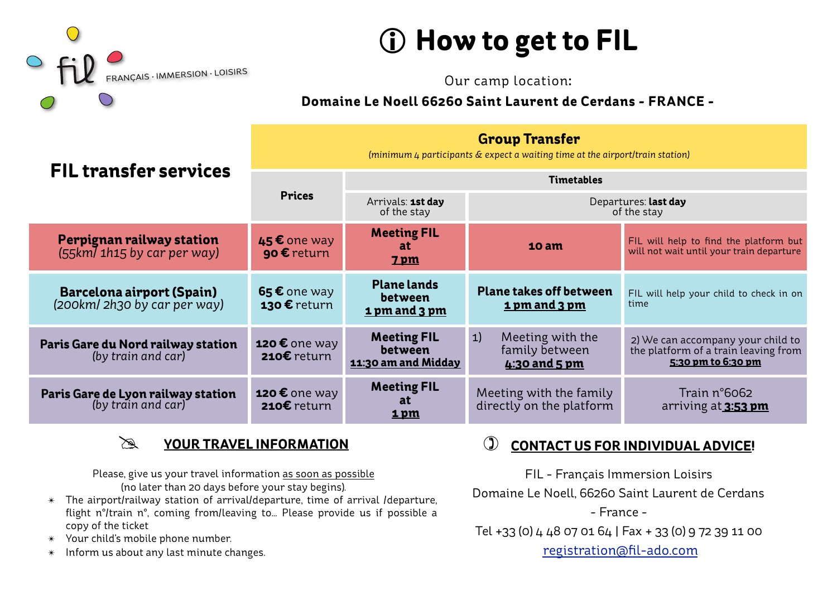

# **(i) How to get to FIL**

Our camp location**:** 

## **Domaine Le Noell 66260 Saint Laurent de Cerdans - FRANCE -**

**Group Transfer** 

| <b>FIL transfer services</b>                                      | (minimum $\mu$ participants $\&$ expect a waiting time at the airport/train station) |                                                      |                                                               |                                                                                                 |
|-------------------------------------------------------------------|--------------------------------------------------------------------------------------|------------------------------------------------------|---------------------------------------------------------------|-------------------------------------------------------------------------------------------------|
|                                                                   | <b>Prices</b>                                                                        | <b>Timetables</b>                                    |                                                               |                                                                                                 |
|                                                                   |                                                                                      | Arrivals: 1st day<br>of the stay                     | Departures: last day<br>of the stay                           |                                                                                                 |
| <b>Perpignan railway station</b><br>$(55km)$ 1h15 by car per way) | $45 €$ one way<br>90 € return                                                        | <b>Meeting FIL</b><br>at.<br><u> 7 pm</u>            | <b>10 am</b>                                                  | FIL will help to find the platform but<br>will not wait until your train departure              |
| <b>Barcelona airport (Spain)</b><br>(200km/2h30 by car per way)   | 65 $\epsilon$ one way<br>130 € return                                                | <b>Plane lands</b><br>between<br>1 pm and 3 pm       | <b>Plane takes off between</b><br>1 pm and 3 pm               | FIL will help your child to check in on<br>time                                                 |
| Paris Gare du Nord railway station<br>(by train and car)          | 120 € one way<br>210€ return                                                         | <b>Meeting FIL</b><br>between<br>11:30 am and Midday | 1)<br>Meeting with the<br>family between<br>$4:30$ and $5$ pm | 2) We can accompany your child to<br>the platform of a train leaving from<br>5:30 pm to 6:30 pm |
| Paris Gare de Lyon railway station<br>(by train and car)          | 120 € one way<br>210€ return                                                         | <b>Meeting FIL</b><br>at<br><u> 1 pm</u>             | Meeting with the family<br>directly on the platform           | Train n°6062<br>arriving at 3:53 pm                                                             |

## ! **YOUR TRAVEL INFORMATION**

Please, give us your travel information as soon as possible (no later than 20 days before your stay begins).

- $*$  The airport/railway station of arrival/departure, time of arrival /departure, flight n°/train n°, coming from/leaving to… Please provide us if possible a copy of the ticket
- ✴ Your child's mobile phone number.
- ✴ Inform us about any last minute changes.

# " **CONTACT US FOR INDIVIDUAL ADVICE!**

FIL - Français Immersion Loisirs Domaine Le Noell, 66260 Saint Laurent de Cerdans - France -

Tel +33 (0) 4 48 07 01 64 | Fax + 33 (0) 9 72 39 11 00

[registration@fil-ado.com](mailto:registration@fil-ado.com)